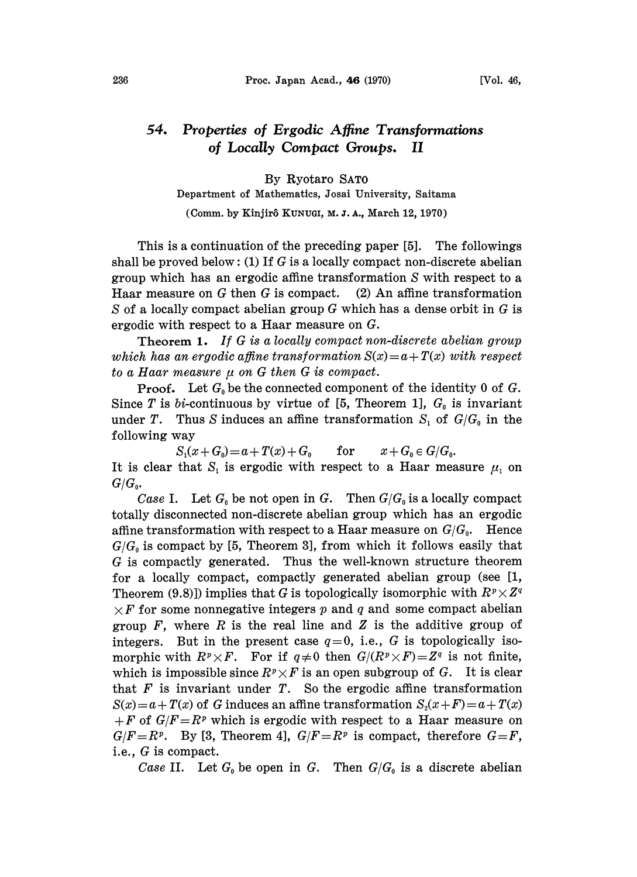## 54. Properties of Ergodic Affine Transformations of Locally Compact Groups. II

By Ryotaro SAT0

Department of Mathematics, Josai University, Saitama

(Comm. by Kinjir8 KUNUGI, M. J. A., March 12, 1970)

This is a continuation of the preceding paper [5]. The followings shall be proved below: (1) If  $G$  is a locally compact non-discrete abelian group which has an ergodic affine transformation S with respect to a Haar measure on  $G$  then  $G$  is compact. (2) An affine transformation S of a locally compact abelian group  $G$  which has a dense orbit in  $G$  is ergodic with respect to a Haar measure on G.

Theorem 1. If G is <sup>a</sup> locally compact non-discrete abelian group which has an ergodic affine transformation  $S(x) = a + T(x)$  with respect to a Haar measure  $\mu$  on G then G is compact.

**Proof.** Let  $G_0$  be the connected component of the identity 0 of G. Since T is bi-continuous by virtue of [5, Theorem 1],  $G_0$  is invariant under T. Thus S induces an affine transformation  $S_1$  of  $G/G_0$  in the following way

 $S_1(x+G_0) = a + T(x) + G_0$  for  $x+G_0 \in G/G_0$ . It is clear that  $S_1$  is ergodic with respect to a Haar measure  $\mu_1$  on  $G/G_{\scriptscriptstyle{0}}$ .

Case I. Let  $G_0$  be not open in G. Then  $G/G_0$  is a locally compact totally disconnected non-discrete abelian group which has an ergodic affine transformation with respect to a Haar measure on  $G/G_0$ . Hence  $G/G<sub>0</sub>$  is compact by [5, Theorem 3], from which it follows easily that G is compactly generated. Thus the well-known structure theorem for a locally compact, compactly generated abelian group (see [1, Theorem (9.8)]) implies that G is topologically isomorphic with  $R^p\times Z^q$  $\times F$  for some nonnegative integers p and q and some compact abelian group  $F$ , where  $R$  is the real line and  $Z$  is the additive group of integers. But in the present case  $q=0$ , i.e., G is topologically isomorphic with  $R^p \times F$ . For if  $q \neq 0$  then  $G/(R^p \times F) = Z^q$  is not finite, which is impossible since  $R^p \times F$  is an open subgroup of G. It is clear that  $F$  is invariant under  $T$ . So the ergodic affine transformation  $S(x) = a + T(x)$  of G induces an affine transformation  $S_2(x+F) = a+T(x)$  $+F$  of  $G/F=R^p$  which is ergodic with respect to a Haar measure on  $G/F=R^p$ . By [3, Theorem 4],  $G/F=R^p$  is compact, therefore  $G=F$ , i.e., G is compact.

Case II. Let  $G_0$  be open in G. Then  $G/G_0$  is a discrete abelian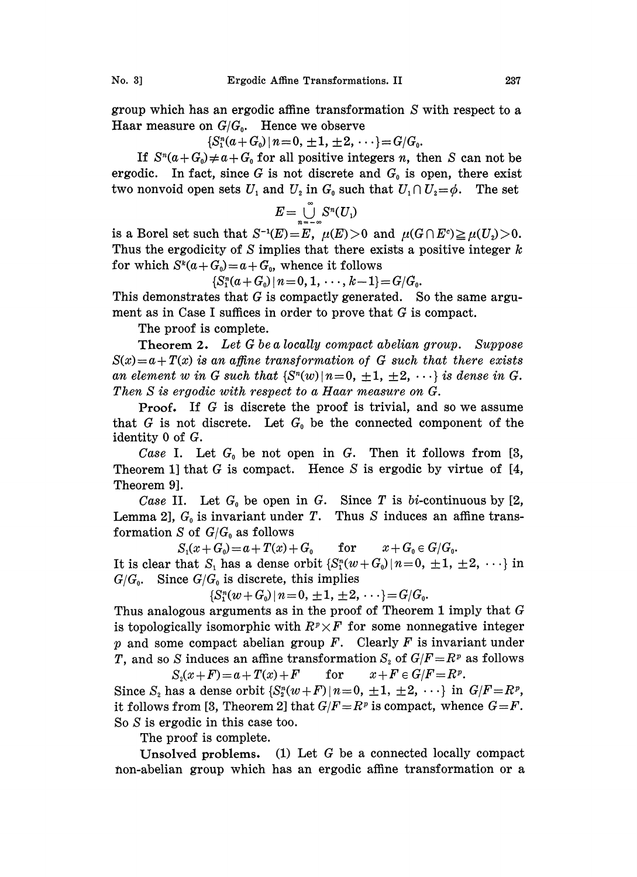group which has an ergodic affine transformation S with respect to a Haar measure on  $G/G_0$ . Hence we observe

 ${S_1^n(a+G_0) \mid n=0, \pm 1, \pm 2, \cdots} = G/G_0.$ 

If  $S^n(a+G_0)\neq a+G_0$  for all positive integers n, then S can not be ergodic. In fact, since G is not discrete and  $G_0$  is open, there exist two nonvoid open sets  $U_1$  and  $U_2$  in  $G_0$  such that  $U_1 \cap U_2 = \phi$ . The set

$$
E=\bigcup_{n=-\infty}^{\infty}S^n(U_1)
$$

is a Borel set such that  $S^{-1}(E)=E$ ,  $\mu(E)>0$  and  $\mu(G \cap E^c) \geq \mu(U_2)>0$ . Thus the ergodicity of S implies that there exists a positive integer  $k$ for which  $S^k(a+G_0)=a+G_0$ , whence it follows

 ${S_1^n(a+G_0) \mid n=0, 1, \cdots, k-1} = G/G_0.$ 

This demonstrates that  $G$  is compactly generated. So the same argument as in Case <sup>I</sup> suffices in order to prove that G is compact.

The proof is complete.

Theorem 2. Let  $G$  be a locally compact abelian group. Suppose  $S(x) = a + T(x)$  is an affine transformation of G such that there exists an element w in G such that  $\{S^n(w)|n=0, \pm 1, \pm 2, \cdots\}$  is dense in G. Then S is ergodic with respect to a Haar measure on G.

Proof. If G is discrete the proof is trivial, and so we assume that  $G$  is not discrete. Let  $G_0$  be the connected component of the identity 0 of G.

Case I. Let  $G_0$  be not open in G. Then it follows from [3, Theorem 1] that G is compact. Hence S is ergodic by virtue of  $[4, 1]$ Theorem 9].

Case II. Let  $G_0$  be open in G. Since T is bi-continuous by [2, Lemma 2],  $G_0$  is invariant under T. Thus S induces an affine transformation S of  $G/G_0$  as follows

 $S_1(x+G_0)=a+T(x)+G_0$  for  $x+G_0\in G/G_0$ . It is clear that S, has a dense orbit  $\{S_1^n(w+G_0)|n=0, \pm 1, \pm 2, \cdots\}$  in  $G/G_0$ . Since  $G/G_0$  is discrete, this implies

 ${S_1^n(w+G_0)\,|\,n=0,\,\pm 1,\,\pm 2,\,\cdots\}={G/G_0}.$ 

Thus analogous arguments as in the proof of Theorem 1 imply that  $G$ is topologically isomorphic with  $R^p \times F$  for some nonnegative integer p and some compact abelian group F. Clearly F is invariant under T, and so S induces an affine transformation  $S_2$  of  $G/F=R^p$  as follows<br> $S_2(x+F)=a+T(x)+F$  for  $x+F\in G/F=R^p$ .

 $S_2(x+F) = a + T(x) + F$  for  $x+F \in G/F = R^p$ .  $+F \in G/F = R^p.$ <br>  $\{1, \pm 2, \cdots\}$  in<br>
s compact, whe Since  $S_2$  has a dense orbit  $\{S_2^n(w+F) \mid n=0, \pm 1, \pm 2, \cdots\}$  in  $G/F=R^p$ , it follows from [3, Theorem 2] that  $G/F=R^p$  is compact, whence  $G=F$ . So S is ergodic in this case too.

The proof is complete.

Unsolved problems. (1) Let G be a connected locally compact non-abelian group which has an ergodic affine transformation or a